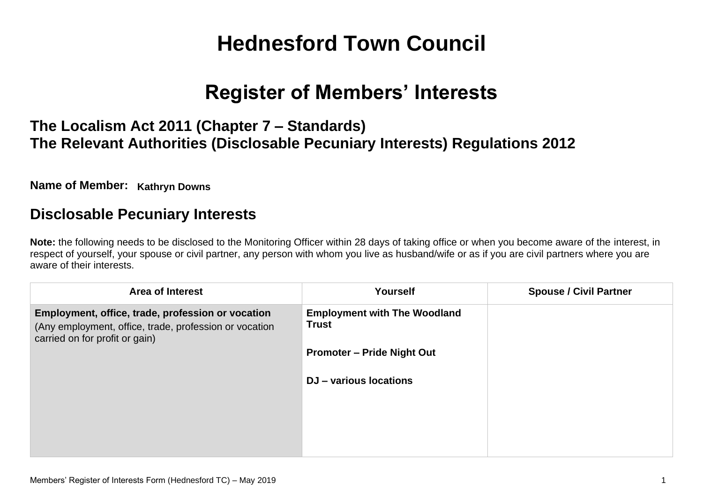# **Hednesford Town Council**

# **Register of Members' Interests**

## **The Localism Act 2011 (Chapter 7 – Standards) The Relevant Authorities (Disclosable Pecuniary Interests) Regulations 2012**

**Name of Member: Kathryn Downs**

#### **Disclosable Pecuniary Interests**

**Note:** the following needs to be disclosed to the Monitoring Officer within 28 days of taking office or when you become aware of the interest, in respect of yourself, your spouse or civil partner, any person with whom you live as husband/wife or as if you are civil partners where you are aware of their interests.

| <b>Area of Interest</b>                                                                                                                       | Yourself                                            | <b>Spouse / Civil Partner</b> |
|-----------------------------------------------------------------------------------------------------------------------------------------------|-----------------------------------------------------|-------------------------------|
| Employment, office, trade, profession or vocation<br>(Any employment, office, trade, profession or vocation<br>carried on for profit or gain) | <b>Employment with The Woodland</b><br><b>Trust</b> |                               |
|                                                                                                                                               | <b>Promoter – Pride Night Out</b>                   |                               |
|                                                                                                                                               | DJ - various locations                              |                               |
|                                                                                                                                               |                                                     |                               |
|                                                                                                                                               |                                                     |                               |
|                                                                                                                                               |                                                     |                               |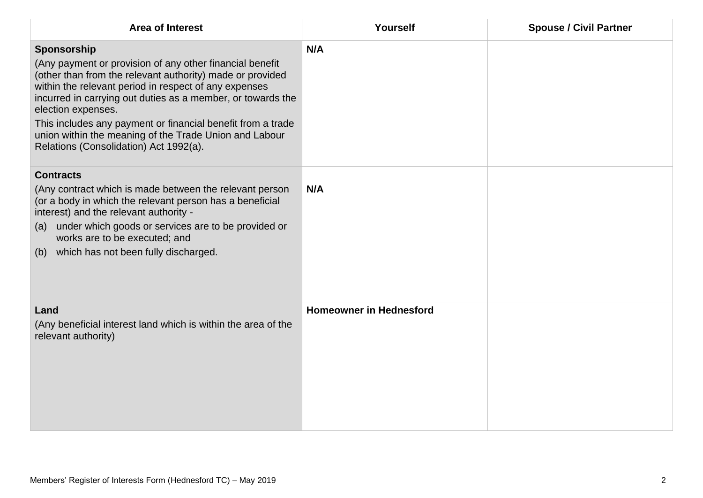| <b>Area of Interest</b>                                                                                                                                                                                                                                                                                                                                                                                                                               | Yourself                       | <b>Spouse / Civil Partner</b> |
|-------------------------------------------------------------------------------------------------------------------------------------------------------------------------------------------------------------------------------------------------------------------------------------------------------------------------------------------------------------------------------------------------------------------------------------------------------|--------------------------------|-------------------------------|
| Sponsorship<br>(Any payment or provision of any other financial benefit<br>(other than from the relevant authority) made or provided<br>within the relevant period in respect of any expenses<br>incurred in carrying out duties as a member, or towards the<br>election expenses.<br>This includes any payment or financial benefit from a trade<br>union within the meaning of the Trade Union and Labour<br>Relations (Consolidation) Act 1992(a). | N/A                            |                               |
| <b>Contracts</b><br>(Any contract which is made between the relevant person<br>(or a body in which the relevant person has a beneficial<br>interest) and the relevant authority -<br>(a) under which goods or services are to be provided or<br>works are to be executed; and<br>(b) which has not been fully discharged.                                                                                                                             | N/A                            |                               |
| Land<br>(Any beneficial interest land which is within the area of the<br>relevant authority)                                                                                                                                                                                                                                                                                                                                                          | <b>Homeowner in Hednesford</b> |                               |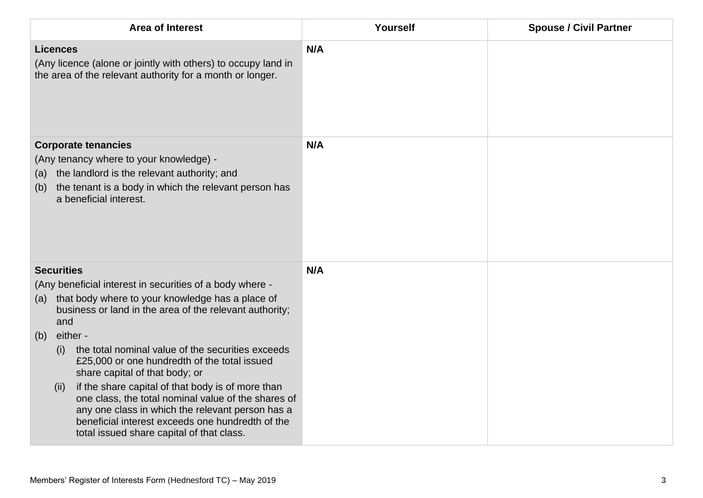| <b>Area of Interest</b>                                                                                                                                                                                                                                                                                                                                                                                                                                                                                                                                                                                                                              | Yourself | <b>Spouse / Civil Partner</b> |
|------------------------------------------------------------------------------------------------------------------------------------------------------------------------------------------------------------------------------------------------------------------------------------------------------------------------------------------------------------------------------------------------------------------------------------------------------------------------------------------------------------------------------------------------------------------------------------------------------------------------------------------------------|----------|-------------------------------|
| <b>Licences</b><br>(Any licence (alone or jointly with others) to occupy land in<br>the area of the relevant authority for a month or longer.                                                                                                                                                                                                                                                                                                                                                                                                                                                                                                        | N/A      |                               |
| <b>Corporate tenancies</b><br>(Any tenancy where to your knowledge) -<br>the landlord is the relevant authority; and<br>(a)<br>the tenant is a body in which the relevant person has<br>(b)<br>a beneficial interest.                                                                                                                                                                                                                                                                                                                                                                                                                                | N/A      |                               |
| <b>Securities</b><br>(Any beneficial interest in securities of a body where -<br>that body where to your knowledge has a place of<br>(a)<br>business or land in the area of the relevant authority;<br>and<br>either -<br>(b)<br>the total nominal value of the securities exceeds<br>(i)<br>£25,000 or one hundredth of the total issued<br>share capital of that body; or<br>if the share capital of that body is of more than<br>(ii)<br>one class, the total nominal value of the shares of<br>any one class in which the relevant person has a<br>beneficial interest exceeds one hundredth of the<br>total issued share capital of that class. | N/A      |                               |